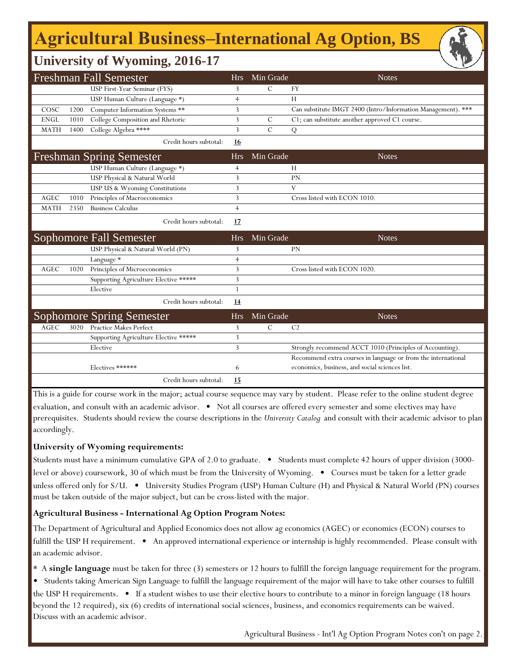# **Agricultural Business‒International Ag Option, BS**

## **University of Wyoming, 2016-17**

| <b>Freshman Fall Semester</b> |      |                                       |                | Min Grade     | <b>Notes</b>                                                  |
|-------------------------------|------|---------------------------------------|----------------|---------------|---------------------------------------------------------------|
|                               |      | USP First-Year Seminar (FYS)          | 3              | $\mathcal{C}$ | <b>FY</b>                                                     |
|                               |      | USP Human Culture (Language *)        | $\overline{4}$ |               | H                                                             |
| COSC                          | 1200 | Computer Information Systems **       | 3              |               | Can substitute IMGT 2400 (Intro/Information Management). ***  |
| <b>ENGL</b>                   | 1010 | College Composition and Rhetoric      | 3              | $\mathcal{C}$ | C1; can substitute another approved C1 course.                |
| <b>MATH</b>                   | 1400 | College Algebra ****                  | 3              | $\mathcal{C}$ | Q                                                             |
|                               |      | Credit hours subtotal:                | <u>16</u>      |               |                                                               |
|                               |      | <b>Freshman Spring Semester</b>       | <b>Hrs</b>     | Min Grade     | <b>Notes</b>                                                  |
|                               |      | USP Human Culture (Language *)        | 4              |               | H                                                             |
|                               |      | USP Physical & Natural World          | 3              |               | PN                                                            |
|                               |      | USP US & Wyoming Constitutions        | 3              |               | V                                                             |
| <b>AGEC</b>                   | 1010 | Principles of Macroeconomics          | 3              |               | Cross listed with ECON 1010.                                  |
| <b>MATH</b>                   | 2350 | <b>Business Calculus</b>              | $\overline{4}$ |               |                                                               |
|                               |      | Credit hours subtotal:                | 17             |               |                                                               |
|                               |      | Sophomore Fall Semester               | <b>Hrs</b>     | Min Grade     | <b>Notes</b>                                                  |
|                               |      | USP Physical & Natural World (PN)     | 3              |               | <b>PN</b>                                                     |
|                               |      | Language *                            | $\overline{4}$ |               |                                                               |
| <b>AGEC</b>                   | 1020 | Principles of Microeconomics          | 3              |               | Cross listed with ECON 1020.                                  |
|                               |      | Supporting Agriculture Elective ***** | 3              |               |                                                               |
|                               |      | Elective                              | 1              |               |                                                               |
|                               |      | Credit hours subtotal:                | 14             |               |                                                               |
|                               |      | <b>Sophomore Spring Semester</b>      | <b>Hrs</b>     | Min Grade     | <b>Notes</b>                                                  |
| <b>AGEC</b>                   | 3020 | <b>Practice Makes Perfect</b>         | 3              | $\mathcal{C}$ | C <sub>2</sub>                                                |
|                               |      | Supporting Agriculture Elective ***** | 3              |               |                                                               |
|                               |      | Elective                              | 3              |               | Strongly recommend ACCT 1010 (Principles of Accounting).      |
|                               |      |                                       |                |               | Recommend extra courses in language or from the international |
|                               |      | Electives ******                      | 6              |               | economics, business, and social sciences list.                |
|                               |      | Credit hours subtotal:                | 15             |               |                                                               |

This is a guide for course work in the major; actual course sequence may vary by student. Please refer to the online student degree evaluation, and consult with an academic advisor. • Not all courses are offered every semester and some electives may have prerequisites. Students should review the course descriptions in the *University Catalog* and consult with their academic advisor to plan accordingly.

### **University of Wyoming requirements:**

Students must have a minimum cumulative GPA of 2.0 to graduate. • Students must complete 42 hours of upper division (3000 level or above) coursework, 30 of which must be from the University of Wyoming. • Courses must be taken for a letter grade unless offered only for S/U. • University Studies Program (USP) Human Culture (H) and Physical & Natural World (PN) courses must be taken outside of the major subject, but can be cross-listed with the major.

### **Agricultural Business - International Ag Option Program Notes:**

The Department of Agricultural and Applied Economics does not allow ag economics (AGEC) or economics (ECON) courses to fulfill the USP H requirement. • An approved international experience or internship is highly recommended. Please consult with an academic advisor.

\* A **single language** must be taken for three (3) semesters or 12 hours to fulfill the foreign language requirement for the program.

- Students taking American Sign Language to fulfill the language requirement of the major will have to take other courses to fulfill
- the USP H requirements. If a student wishes to use their elective hours to contribute to a minor in foreign language (18 hours beyond the 12 required), six (6) credits of international social sciences, business, and economics requirements can be waived. Discuss with an academic advisor.

Agricultural Business - Int'l Ag Option Program Notes con't on page 2.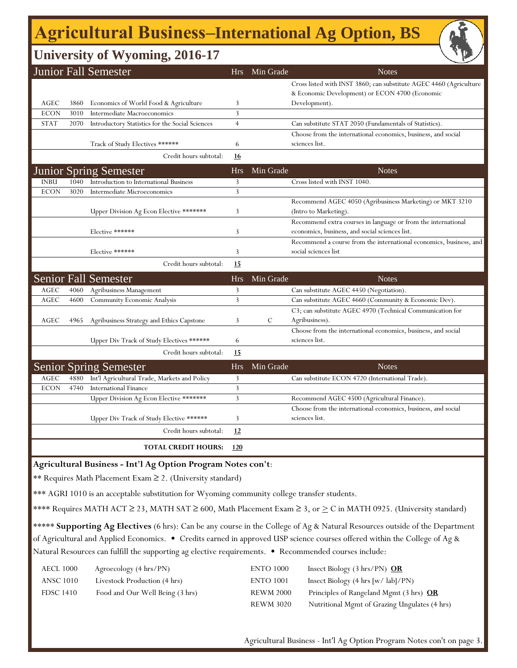# **Agricultural Business‒International Ag Option, BS**

## **University of Wyoming, 2016-17**

|                                                                                                                                      |      | <b>Junior Fall Semester</b>                                  | Hrs            | Min Grade | <b>Notes</b>                                                       |  |
|--------------------------------------------------------------------------------------------------------------------------------------|------|--------------------------------------------------------------|----------------|-----------|--------------------------------------------------------------------|--|
|                                                                                                                                      |      |                                                              |                |           | Cross listed with INST 3860; can substitute AGEC 4460 (Agriculture |  |
|                                                                                                                                      |      |                                                              |                |           | & Economic Development) or ECON 4700 (Economic                     |  |
| AGEC                                                                                                                                 | 3860 | Economics of World Food & Agriculture                        | 3              |           | Development).                                                      |  |
| <b>ECON</b>                                                                                                                          | 3010 | Intermediate Macroeconomics                                  | 3              |           |                                                                    |  |
| <b>STAT</b>                                                                                                                          | 2070 | Introductory Statistics for the Social Sciences              | $\overline{4}$ |           | Can substitute STAT 2050 (Fundamentals of Statistics).             |  |
|                                                                                                                                      |      |                                                              |                |           | Choose from the international economics, business, and social      |  |
|                                                                                                                                      |      | Track of Study Electives ******                              | 6              |           | sciences list.                                                     |  |
|                                                                                                                                      |      | Credit hours subtotal:                                       | <u>16</u>      |           |                                                                    |  |
|                                                                                                                                      |      | <b>Junior Spring Semester</b>                                | <b>Hrs</b>     | Min Grade | <b>Notes</b>                                                       |  |
| <b>INBU</b>                                                                                                                          | 1040 | Introduction to International Business                       | 3              |           | Cross listed with INST 1040.                                       |  |
| <b>ECON</b>                                                                                                                          | 3020 | Intermediate Microeconomics                                  | 3              |           |                                                                    |  |
|                                                                                                                                      |      |                                                              |                |           | Recommend AGEC 4050 (Agribusiness Marketing) or MKT 3210           |  |
|                                                                                                                                      |      | Upper Division Ag Econ Elective *******                      | 3              |           | (Intro to Marketing).                                              |  |
|                                                                                                                                      |      |                                                              |                |           | Recommend extra courses in language or from the international      |  |
|                                                                                                                                      |      | Elective ******                                              | 3              |           | economics, business, and social sciences list.                     |  |
|                                                                                                                                      |      |                                                              |                |           | Recommend a course from the international economics, business, and |  |
|                                                                                                                                      |      | Elective ******                                              | 3              |           | social sciences list                                               |  |
|                                                                                                                                      |      | Credit hours subtotal:                                       | <u>15</u>      |           |                                                                    |  |
|                                                                                                                                      |      | <b>Senior Fall Semester</b>                                  | <b>Hrs</b>     | Min Grade | <b>Notes</b>                                                       |  |
| AGEC                                                                                                                                 | 4060 | Agribusiness Management                                      | 3              |           | Can substitute AGEC 4450 (Negotiation).                            |  |
| AGEC                                                                                                                                 | 4600 | Community Economic Analysis                                  | 3              |           | Can substitute AGEC 4660 (Community & Economic Dev).               |  |
|                                                                                                                                      |      |                                                              |                |           | C3; can substitute AGEC 4970 (Technical Communication for          |  |
| AGEC                                                                                                                                 | 4965 | Agribusiness Strategy and Ethics Capstone                    | 3              | C         | Agribusiness).                                                     |  |
|                                                                                                                                      |      |                                                              |                |           | Choose from the international economics, business, and social      |  |
|                                                                                                                                      |      | Upper Div Track of Study Electives ******                    | 6              |           | sciences list.                                                     |  |
|                                                                                                                                      |      | Credit hours subtotal:                                       | <u>15</u>      |           |                                                                    |  |
|                                                                                                                                      |      | <b>Senior Spring Semester</b>                                | <b>Hrs</b>     | Min Grade | <b>Notes</b>                                                       |  |
| AGEC                                                                                                                                 | 4880 | Int'l Agricultural Trade, Markets and Policy                 | 3              |           | Can substitute ECON 4720 (International Trade).                    |  |
| <b>ECON</b>                                                                                                                          | 4740 | <b>International Finance</b>                                 | $\mathbf{3}$   |           |                                                                    |  |
|                                                                                                                                      |      | Upper Division Ag Econ Elective *******                      | 3              |           | Recommend AGEC 4500 (Agricultural Finance).                        |  |
|                                                                                                                                      |      |                                                              |                |           | Choose from the international economics, business, and social      |  |
|                                                                                                                                      |      | Upper Div Track of Study Elective ******                     | 3              |           | sciences list.                                                     |  |
|                                                                                                                                      |      | Credit hours subtotal:                                       | 12             |           |                                                                    |  |
|                                                                                                                                      |      | <b>TOTAL CREDIT HOURS:</b>                                   | 120            |           |                                                                    |  |
|                                                                                                                                      |      | Agricultural Business - Int'l Ag Option Program Notes con't: |                |           |                                                                    |  |
|                                                                                                                                      |      | ** Requires Math Placement Exam ≥ 2. (University standard)   |                |           |                                                                    |  |
| *** AGRI 1010 is an acceptable substitution for Wyoming community college transfer students.                                         |      |                                                              |                |           |                                                                    |  |
|                                                                                                                                      |      |                                                              |                |           |                                                                    |  |
| **** Requires MATH ACT $\geq$ 23, MATH SAT $\geq$ 600, Math Placement Exam $\geq$ 3, or $\geq$ C in MATH 0925. (University standard) |      |                                                              |                |           |                                                                    |  |
| ***** Supporting Ag Electives (6 hrs): Can be any course in the College of Ag & Natural Resources outside of the Department          |      |                                                              |                |           |                                                                    |  |
| of Agricultural and Applied Economics. • Credits earned in approved USP science courses offered within the College of Ag &           |      |                                                              |                |           |                                                                    |  |

Natural Resources can fulfill the supporting ag elective requirements. • Recommended courses include:

| AECL 1000        | Agroecology (4 hrs/PN)          | <b>ENTO 1000</b> | Insect Biology $(3 \text{ hrs/PN})$ OR        |
|------------------|---------------------------------|------------------|-----------------------------------------------|
| ANSC 1010        | Livestock Production (4 hrs)    | <b>ENTO 1001</b> | Insect Biology (4 hrs [w/ lab]/PN)            |
| <b>FDSC 1410</b> | Food and Our Well Being (3 hrs) | <b>REWM 2000</b> | Principles of Rangeland Mgmt (3 hrs) OR       |
|                  |                                 | <b>REWM 3020</b> | Nutritional Mgmt of Grazing Ungulates (4 hrs) |

Agricultural Business - Int'l Ag Option Program Notes con't on page 3.